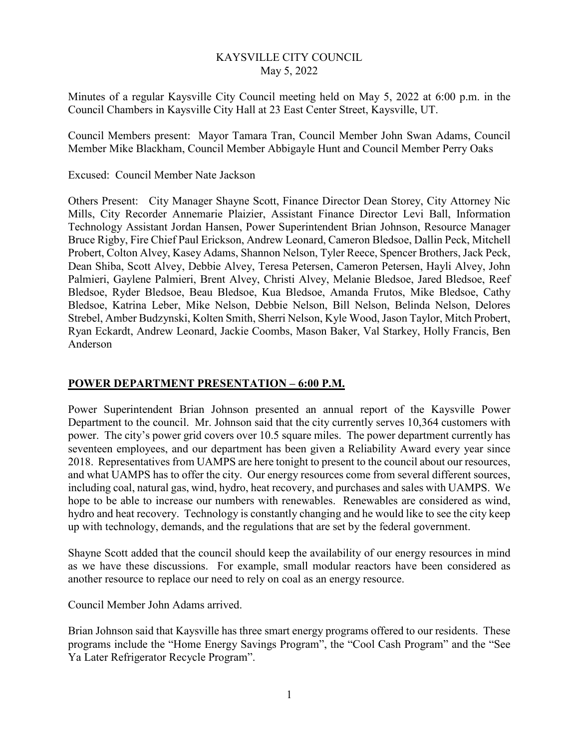### KAYSVILLE CITY COUNCIL May 5, 2022

Minutes of a regular Kaysville City Council meeting held on May 5, 2022 at 6:00 p.m. in the Council Chambers in Kaysville City Hall at 23 East Center Street, Kaysville, UT.

Council Members present: Mayor Tamara Tran, Council Member John Swan Adams, Council Member Mike Blackham, Council Member Abbigayle Hunt and Council Member Perry Oaks

#### Excused: Council Member Nate Jackson

Others Present: City Manager Shayne Scott, Finance Director Dean Storey, City Attorney Nic Mills, City Recorder Annemarie Plaizier, Assistant Finance Director Levi Ball, Information Technology Assistant Jordan Hansen, Power Superintendent Brian Johnson, Resource Manager Bruce Rigby, Fire Chief Paul Erickson, Andrew Leonard, Cameron Bledsoe, Dallin Peck, Mitchell Probert, Colton Alvey, Kasey Adams, Shannon Nelson, Tyler Reece, Spencer Brothers, Jack Peck, Dean Shiba, Scott Alvey, Debbie Alvey, Teresa Petersen, Cameron Petersen, Hayli Alvey, John Palmieri, Gaylene Palmieri, Brent Alvey, Christi Alvey, Melanie Bledsoe, Jared Bledsoe, Reef Bledsoe, Ryder Bledsoe, Beau Bledsoe, Kua Bledsoe, Amanda Frutos, Mike Bledsoe, Cathy Bledsoe, Katrina Leber, Mike Nelson, Debbie Nelson, Bill Nelson, Belinda Nelson, Delores Strebel, Amber Budzynski, Kolten Smith, Sherri Nelson, Kyle Wood, Jason Taylor, Mitch Probert, Ryan Eckardt, Andrew Leonard, Jackie Coombs, Mason Baker, Val Starkey, Holly Francis, Ben Anderson

#### **POWER DEPARTMENT PRESENTATION – 6:00 P.M.**

Power Superintendent Brian Johnson presented an annual report of the Kaysville Power Department to the council. Mr. Johnson said that the city currently serves 10,364 customers with power. The city's power grid covers over 10.5 square miles. The power department currently has seventeen employees, and our department has been given a Reliability Award every year since 2018. Representatives from UAMPS are here tonight to present to the council about our resources, and what UAMPS has to offer the city. Our energy resources come from several different sources, including coal, natural gas, wind, hydro, heat recovery, and purchases and sales with UAMPS. We hope to be able to increase our numbers with renewables. Renewables are considered as wind, hydro and heat recovery. Technology is constantly changing and he would like to see the city keep up with technology, demands, and the regulations that are set by the federal government.

Shayne Scott added that the council should keep the availability of our energy resources in mind as we have these discussions. For example, small modular reactors have been considered as another resource to replace our need to rely on coal as an energy resource.

Council Member John Adams arrived.

Brian Johnson said that Kaysville has three smart energy programs offered to our residents. These programs include the "Home Energy Savings Program", the "Cool Cash Program" and the "See Ya Later Refrigerator Recycle Program".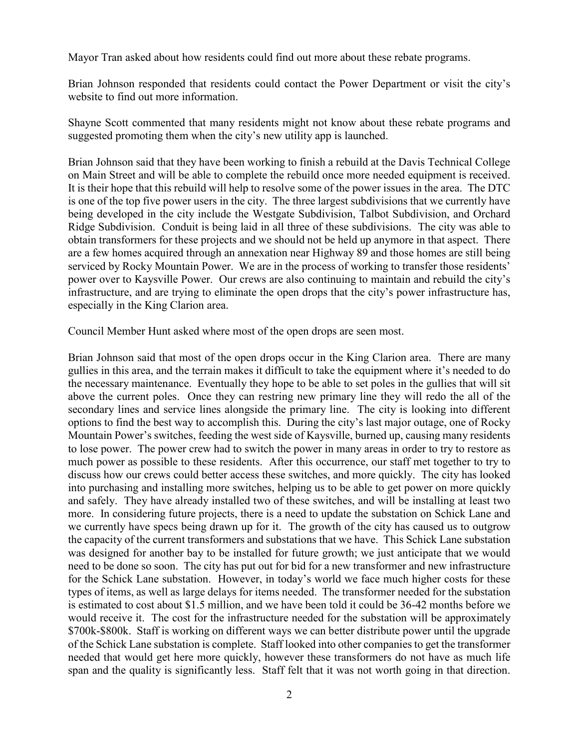Mayor Tran asked about how residents could find out more about these rebate programs.

Brian Johnson responded that residents could contact the Power Department or visit the city's website to find out more information.

Shayne Scott commented that many residents might not know about these rebate programs and suggested promoting them when the city's new utility app is launched.

Brian Johnson said that they have been working to finish a rebuild at the Davis Technical College on Main Street and will be able to complete the rebuild once more needed equipment is received. It is their hope that this rebuild will help to resolve some of the power issues in the area. The DTC is one of the top five power users in the city. The three largest subdivisions that we currently have being developed in the city include the Westgate Subdivision, Talbot Subdivision, and Orchard Ridge Subdivision. Conduit is being laid in all three of these subdivisions. The city was able to obtain transformers for these projects and we should not be held up anymore in that aspect. There are a few homes acquired through an annexation near Highway 89 and those homes are still being serviced by Rocky Mountain Power. We are in the process of working to transfer those residents' power over to Kaysville Power. Our crews are also continuing to maintain and rebuild the city's infrastructure, and are trying to eliminate the open drops that the city's power infrastructure has, especially in the King Clarion area.

Council Member Hunt asked where most of the open drops are seen most.

Brian Johnson said that most of the open drops occur in the King Clarion area. There are many gullies in this area, and the terrain makes it difficult to take the equipment where it's needed to do the necessary maintenance. Eventually they hope to be able to set poles in the gullies that will sit above the current poles. Once they can restring new primary line they will redo the all of the secondary lines and service lines alongside the primary line. The city is looking into different options to find the best way to accomplish this. During the city's last major outage, one of Rocky Mountain Power's switches, feeding the west side of Kaysville, burned up, causing many residents to lose power. The power crew had to switch the power in many areas in order to try to restore as much power as possible to these residents. After this occurrence, our staff met together to try to discuss how our crews could better access these switches, and more quickly. The city has looked into purchasing and installing more switches, helping us to be able to get power on more quickly and safely. They have already installed two of these switches, and will be installing at least two more. In considering future projects, there is a need to update the substation on Schick Lane and we currently have specs being drawn up for it. The growth of the city has caused us to outgrow the capacity of the current transformers and substations that we have. This Schick Lane substation was designed for another bay to be installed for future growth; we just anticipate that we would need to be done so soon. The city has put out for bid for a new transformer and new infrastructure for the Schick Lane substation. However, in today's world we face much higher costs for these types of items, as well as large delays for items needed. The transformer needed for the substation is estimated to cost about \$1.5 million, and we have been told it could be 36-42 months before we would receive it. The cost for the infrastructure needed for the substation will be approximately \$700k-\$800k. Staff is working on different ways we can better distribute power until the upgrade of the Schick Lane substation is complete. Staff looked into other companies to get the transformer needed that would get here more quickly, however these transformers do not have as much life span and the quality is significantly less. Staff felt that it was not worth going in that direction.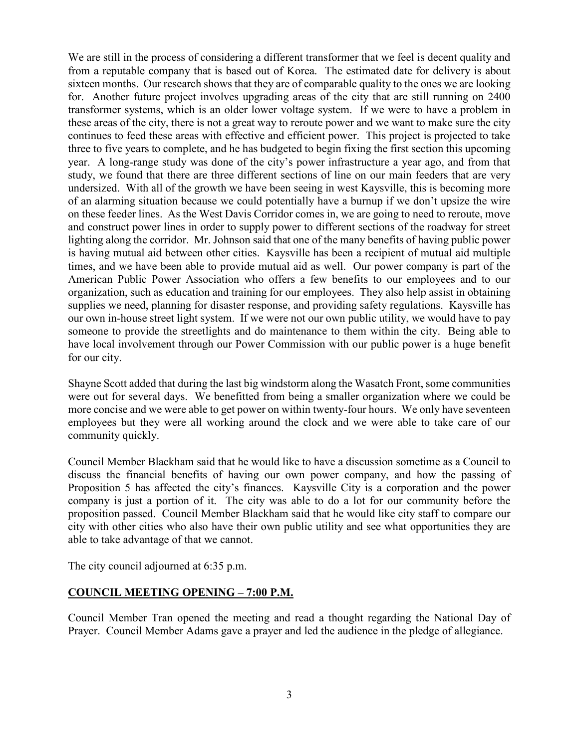We are still in the process of considering a different transformer that we feel is decent quality and from a reputable company that is based out of Korea. The estimated date for delivery is about sixteen months. Our research shows that they are of comparable quality to the ones we are looking for. Another future project involves upgrading areas of the city that are still running on 2400 transformer systems, which is an older lower voltage system. If we were to have a problem in these areas of the city, there is not a great way to reroute power and we want to make sure the city continues to feed these areas with effective and efficient power. This project is projected to take three to five years to complete, and he has budgeted to begin fixing the first section this upcoming year. A long-range study was done of the city's power infrastructure a year ago, and from that study, we found that there are three different sections of line on our main feeders that are very undersized. With all of the growth we have been seeing in west Kaysville, this is becoming more of an alarming situation because we could potentially have a burnup if we don't upsize the wire on these feeder lines. As the West Davis Corridor comes in, we are going to need to reroute, move and construct power lines in order to supply power to different sections of the roadway for street lighting along the corridor. Mr. Johnson said that one of the many benefits of having public power is having mutual aid between other cities. Kaysville has been a recipient of mutual aid multiple times, and we have been able to provide mutual aid as well. Our power company is part of the American Public Power Association who offers a few benefits to our employees and to our organization, such as education and training for our employees. They also help assist in obtaining supplies we need, planning for disaster response, and providing safety regulations. Kaysville has our own in-house street light system. If we were not our own public utility, we would have to pay someone to provide the streetlights and do maintenance to them within the city. Being able to have local involvement through our Power Commission with our public power is a huge benefit for our city.

Shayne Scott added that during the last big windstorm along the Wasatch Front, some communities were out for several days. We benefitted from being a smaller organization where we could be more concise and we were able to get power on within twenty-four hours. We only have seventeen employees but they were all working around the clock and we were able to take care of our community quickly.

Council Member Blackham said that he would like to have a discussion sometime as a Council to discuss the financial benefits of having our own power company, and how the passing of Proposition 5 has affected the city's finances. Kaysville City is a corporation and the power company is just a portion of it. The city was able to do a lot for our community before the proposition passed. Council Member Blackham said that he would like city staff to compare our city with other cities who also have their own public utility and see what opportunities they are able to take advantage of that we cannot.

The city council adjourned at 6:35 p.m.

## **COUNCIL MEETING OPENING – 7:00 P.M.**

Council Member Tran opened the meeting and read a thought regarding the National Day of Prayer. Council Member Adams gave a prayer and led the audience in the pledge of allegiance.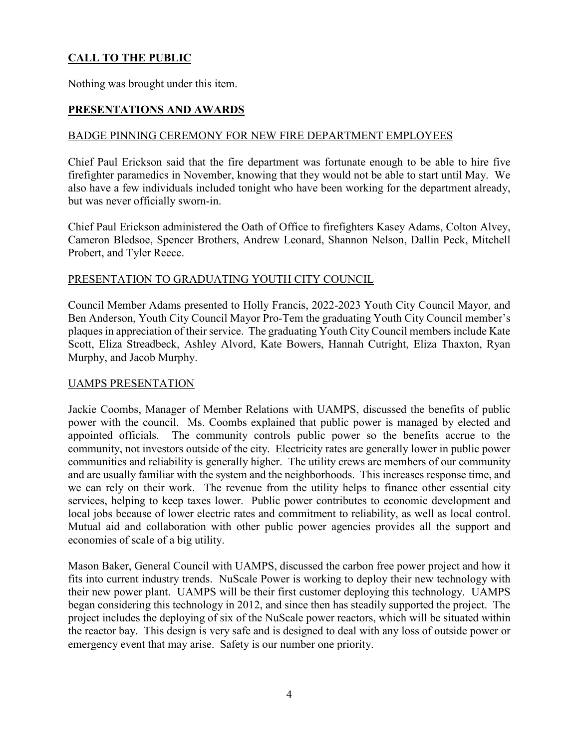# **CALL TO THE PUBLIC**

Nothing was brought under this item.

## **PRESENTATIONS AND AWARDS**

## BADGE PINNING CEREMONY FOR NEW FIRE DEPARTMENT EMPLOYEES

Chief Paul Erickson said that the fire department was fortunate enough to be able to hire five firefighter paramedics in November, knowing that they would not be able to start until May. We also have a few individuals included tonight who have been working for the department already, but was never officially sworn-in.

Chief Paul Erickson administered the Oath of Office to firefighters Kasey Adams, Colton Alvey, Cameron Bledsoe, Spencer Brothers, Andrew Leonard, Shannon Nelson, Dallin Peck, Mitchell Probert, and Tyler Reece.

### PRESENTATION TO GRADUATING YOUTH CITY COUNCIL

Council Member Adams presented to Holly Francis, 2022-2023 Youth City Council Mayor, and Ben Anderson, Youth City Council Mayor Pro-Tem the graduating Youth City Council member's plaques in appreciation of their service. The graduating Youth City Council members include Kate Scott, Eliza Streadbeck, Ashley Alvord, Kate Bowers, Hannah Cutright, Eliza Thaxton, Ryan Murphy, and Jacob Murphy.

#### UAMPS PRESENTATION

Jackie Coombs, Manager of Member Relations with UAMPS, discussed the benefits of public power with the council. Ms. Coombs explained that public power is managed by elected and appointed officials. The community controls public power so the benefits accrue to the community, not investors outside of the city. Electricity rates are generally lower in public power communities and reliability is generally higher. The utility crews are members of our community and are usually familiar with the system and the neighborhoods. This increases response time, and we can rely on their work. The revenue from the utility helps to finance other essential city services, helping to keep taxes lower. Public power contributes to economic development and local jobs because of lower electric rates and commitment to reliability, as well as local control. Mutual aid and collaboration with other public power agencies provides all the support and economies of scale of a big utility.

Mason Baker, General Council with UAMPS, discussed the carbon free power project and how it fits into current industry trends. NuScale Power is working to deploy their new technology with their new power plant. UAMPS will be their first customer deploying this technology. UAMPS began considering this technology in 2012, and since then has steadily supported the project. The project includes the deploying of six of the NuScale power reactors, which will be situated within the reactor bay. This design is very safe and is designed to deal with any loss of outside power or emergency event that may arise. Safety is our number one priority.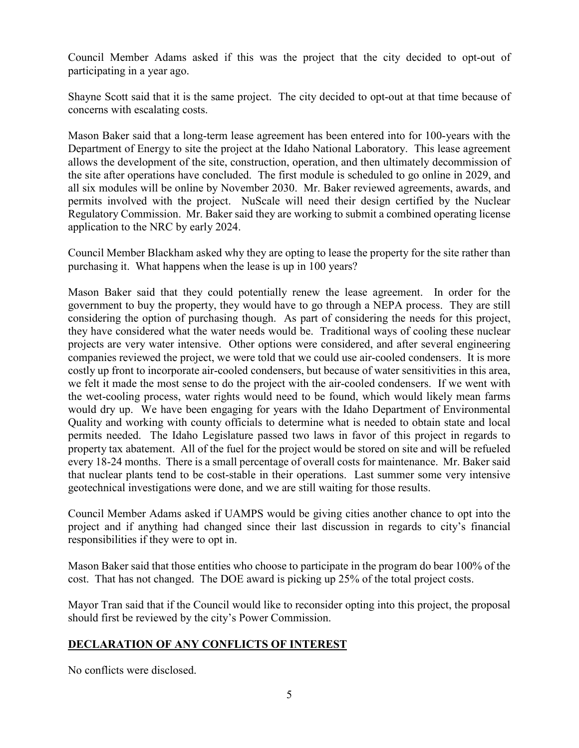Council Member Adams asked if this was the project that the city decided to opt-out of participating in a year ago.

Shayne Scott said that it is the same project. The city decided to opt-out at that time because of concerns with escalating costs.

Mason Baker said that a long-term lease agreement has been entered into for 100-years with the Department of Energy to site the project at the Idaho National Laboratory. This lease agreement allows the development of the site, construction, operation, and then ultimately decommission of the site after operations have concluded. The first module is scheduled to go online in 2029, and all six modules will be online by November 2030. Mr. Baker reviewed agreements, awards, and permits involved with the project. NuScale will need their design certified by the Nuclear Regulatory Commission. Mr. Baker said they are working to submit a combined operating license application to the NRC by early 2024.

Council Member Blackham asked why they are opting to lease the property for the site rather than purchasing it. What happens when the lease is up in 100 years?

Mason Baker said that they could potentially renew the lease agreement. In order for the government to buy the property, they would have to go through a NEPA process. They are still considering the option of purchasing though. As part of considering the needs for this project, they have considered what the water needs would be. Traditional ways of cooling these nuclear projects are very water intensive. Other options were considered, and after several engineering companies reviewed the project, we were told that we could use air-cooled condensers. It is more costly up front to incorporate air-cooled condensers, but because of water sensitivities in this area, we felt it made the most sense to do the project with the air-cooled condensers. If we went with the wet-cooling process, water rights would need to be found, which would likely mean farms would dry up. We have been engaging for years with the Idaho Department of Environmental Quality and working with county officials to determine what is needed to obtain state and local permits needed. The Idaho Legislature passed two laws in favor of this project in regards to property tax abatement. All of the fuel for the project would be stored on site and will be refueled every 18-24 months. There is a small percentage of overall costs for maintenance. Mr. Baker said that nuclear plants tend to be cost-stable in their operations. Last summer some very intensive geotechnical investigations were done, and we are still waiting for those results.

Council Member Adams asked if UAMPS would be giving cities another chance to opt into the project and if anything had changed since their last discussion in regards to city's financial responsibilities if they were to opt in.

Mason Baker said that those entities who choose to participate in the program do bear 100% of the cost. That has not changed. The DOE award is picking up 25% of the total project costs.

Mayor Tran said that if the Council would like to reconsider opting into this project, the proposal should first be reviewed by the city's Power Commission.

## **DECLARATION OF ANY CONFLICTS OF INTEREST**

No conflicts were disclosed.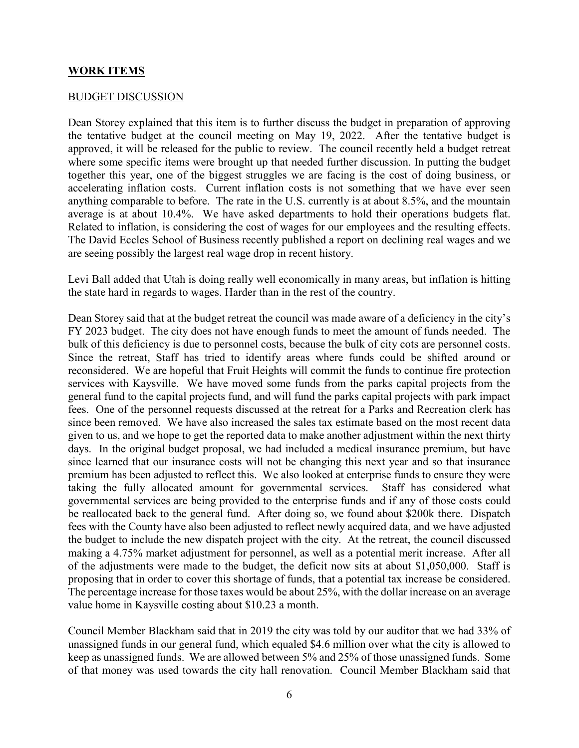#### **WORK ITEMS**

#### BUDGET DISCUSSION

Dean Storey explained that this item is to further discuss the budget in preparation of approving the tentative budget at the council meeting on May 19, 2022. After the tentative budget is approved, it will be released for the public to review. The council recently held a budget retreat where some specific items were brought up that needed further discussion. In putting the budget together this year, one of the biggest struggles we are facing is the cost of doing business, or accelerating inflation costs. Current inflation costs is not something that we have ever seen anything comparable to before. The rate in the U.S. currently is at about 8.5%, and the mountain average is at about 10.4%. We have asked departments to hold their operations budgets flat. Related to inflation, is considering the cost of wages for our employees and the resulting effects. The David Eccles School of Business recently published a report on declining real wages and we are seeing possibly the largest real wage drop in recent history.

Levi Ball added that Utah is doing really well economically in many areas, but inflation is hitting the state hard in regards to wages. Harder than in the rest of the country.

Dean Storey said that at the budget retreat the council was made aware of a deficiency in the city's FY 2023 budget. The city does not have enough funds to meet the amount of funds needed. The bulk of this deficiency is due to personnel costs, because the bulk of city cots are personnel costs. Since the retreat, Staff has tried to identify areas where funds could be shifted around or reconsidered. We are hopeful that Fruit Heights will commit the funds to continue fire protection services with Kaysville. We have moved some funds from the parks capital projects from the general fund to the capital projects fund, and will fund the parks capital projects with park impact fees. One of the personnel requests discussed at the retreat for a Parks and Recreation clerk has since been removed. We have also increased the sales tax estimate based on the most recent data given to us, and we hope to get the reported data to make another adjustment within the next thirty days. In the original budget proposal, we had included a medical insurance premium, but have since learned that our insurance costs will not be changing this next year and so that insurance premium has been adjusted to reflect this. We also looked at enterprise funds to ensure they were taking the fully allocated amount for governmental services. Staff has considered what governmental services are being provided to the enterprise funds and if any of those costs could be reallocated back to the general fund. After doing so, we found about \$200k there. Dispatch fees with the County have also been adjusted to reflect newly acquired data, and we have adjusted the budget to include the new dispatch project with the city. At the retreat, the council discussed making a 4.75% market adjustment for personnel, as well as a potential merit increase. After all of the adjustments were made to the budget, the deficit now sits at about \$1,050,000. Staff is proposing that in order to cover this shortage of funds, that a potential tax increase be considered. The percentage increase for those taxes would be about 25%, with the dollar increase on an average value home in Kaysville costing about \$10.23 a month.

Council Member Blackham said that in 2019 the city was told by our auditor that we had 33% of unassigned funds in our general fund, which equaled \$4.6 million over what the city is allowed to keep as unassigned funds. We are allowed between 5% and 25% of those unassigned funds. Some of that money was used towards the city hall renovation. Council Member Blackham said that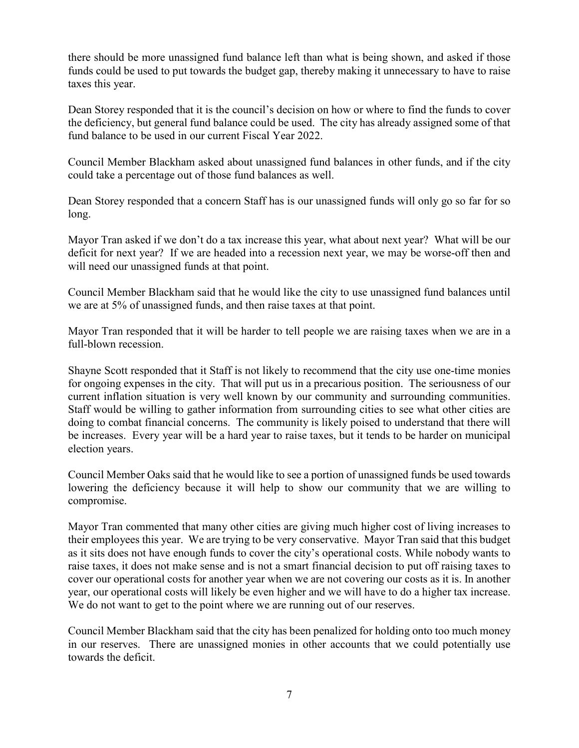there should be more unassigned fund balance left than what is being shown, and asked if those funds could be used to put towards the budget gap, thereby making it unnecessary to have to raise taxes this year.

Dean Storey responded that it is the council's decision on how or where to find the funds to cover the deficiency, but general fund balance could be used. The city has already assigned some of that fund balance to be used in our current Fiscal Year 2022.

Council Member Blackham asked about unassigned fund balances in other funds, and if the city could take a percentage out of those fund balances as well.

Dean Storey responded that a concern Staff has is our unassigned funds will only go so far for so long.

Mayor Tran asked if we don't do a tax increase this year, what about next year? What will be our deficit for next year? If we are headed into a recession next year, we may be worse-off then and will need our unassigned funds at that point.

Council Member Blackham said that he would like the city to use unassigned fund balances until we are at 5% of unassigned funds, and then raise taxes at that point.

Mayor Tran responded that it will be harder to tell people we are raising taxes when we are in a full-blown recession.

Shayne Scott responded that it Staff is not likely to recommend that the city use one-time monies for ongoing expenses in the city. That will put us in a precarious position. The seriousness of our current inflation situation is very well known by our community and surrounding communities. Staff would be willing to gather information from surrounding cities to see what other cities are doing to combat financial concerns. The community is likely poised to understand that there will be increases. Every year will be a hard year to raise taxes, but it tends to be harder on municipal election years.

Council Member Oaks said that he would like to see a portion of unassigned funds be used towards lowering the deficiency because it will help to show our community that we are willing to compromise.

Mayor Tran commented that many other cities are giving much higher cost of living increases to their employees this year. We are trying to be very conservative. Mayor Tran said that this budget as it sits does not have enough funds to cover the city's operational costs. While nobody wants to raise taxes, it does not make sense and is not a smart financial decision to put off raising taxes to cover our operational costs for another year when we are not covering our costs as it is. In another year, our operational costs will likely be even higher and we will have to do a higher tax increase. We do not want to get to the point where we are running out of our reserves.

Council Member Blackham said that the city has been penalized for holding onto too much money in our reserves. There are unassigned monies in other accounts that we could potentially use towards the deficit.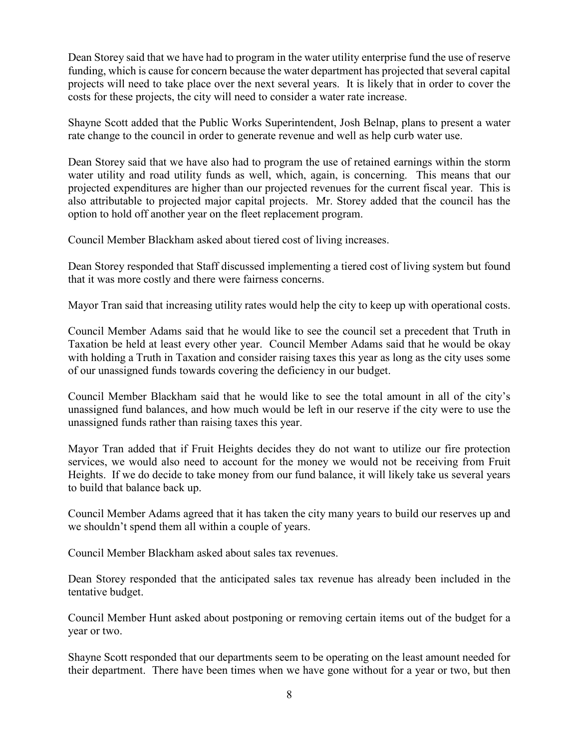Dean Storey said that we have had to program in the water utility enterprise fund the use of reserve funding, which is cause for concern because the water department has projected that several capital projects will need to take place over the next several years. It is likely that in order to cover the costs for these projects, the city will need to consider a water rate increase.

Shayne Scott added that the Public Works Superintendent, Josh Belnap, plans to present a water rate change to the council in order to generate revenue and well as help curb water use.

Dean Storey said that we have also had to program the use of retained earnings within the storm water utility and road utility funds as well, which, again, is concerning. This means that our projected expenditures are higher than our projected revenues for the current fiscal year. This is also attributable to projected major capital projects. Mr. Storey added that the council has the option to hold off another year on the fleet replacement program.

Council Member Blackham asked about tiered cost of living increases.

Dean Storey responded that Staff discussed implementing a tiered cost of living system but found that it was more costly and there were fairness concerns.

Mayor Tran said that increasing utility rates would help the city to keep up with operational costs.

Council Member Adams said that he would like to see the council set a precedent that Truth in Taxation be held at least every other year. Council Member Adams said that he would be okay with holding a Truth in Taxation and consider raising taxes this year as long as the city uses some of our unassigned funds towards covering the deficiency in our budget.

Council Member Blackham said that he would like to see the total amount in all of the city's unassigned fund balances, and how much would be left in our reserve if the city were to use the unassigned funds rather than raising taxes this year.

Mayor Tran added that if Fruit Heights decides they do not want to utilize our fire protection services, we would also need to account for the money we would not be receiving from Fruit Heights. If we do decide to take money from our fund balance, it will likely take us several years to build that balance back up.

Council Member Adams agreed that it has taken the city many years to build our reserves up and we shouldn't spend them all within a couple of years.

Council Member Blackham asked about sales tax revenues.

Dean Storey responded that the anticipated sales tax revenue has already been included in the tentative budget.

Council Member Hunt asked about postponing or removing certain items out of the budget for a year or two.

Shayne Scott responded that our departments seem to be operating on the least amount needed for their department. There have been times when we have gone without for a year or two, but then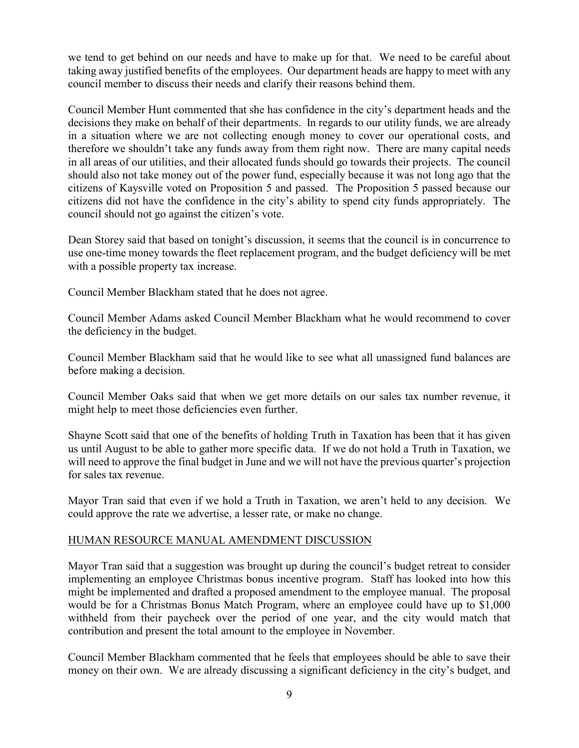we tend to get behind on our needs and have to make up for that. We need to be careful about taking away justified benefits of the employees. Our department heads are happy to meet with any council member to discuss their needs and clarify their reasons behind them.

Council Member Hunt commented that she has confidence in the city's department heads and the decisions they make on behalf of their departments. In regards to our utility funds, we are already in a situation where we are not collecting enough money to cover our operational costs, and therefore we shouldn't take any funds away from them right now. There are many capital needs in all areas of our utilities, and their allocated funds should go towards their projects. The council should also not take money out of the power fund, especially because it was not long ago that the citizens of Kaysville voted on Proposition 5 and passed. The Proposition 5 passed because our citizens did not have the confidence in the city's ability to spend city funds appropriately. The council should not go against the citizen's vote.

Dean Storey said that based on tonight's discussion, it seems that the council is in concurrence to use one-time money towards the fleet replacement program, and the budget deficiency will be met with a possible property tax increase.

Council Member Blackham stated that he does not agree.

Council Member Adams asked Council Member Blackham what he would recommend to cover the deficiency in the budget.

Council Member Blackham said that he would like to see what all unassigned fund balances are before making a decision.

Council Member Oaks said that when we get more details on our sales tax number revenue, it might help to meet those deficiencies even further.

Shayne Scott said that one of the benefits of holding Truth in Taxation has been that it has given us until August to be able to gather more specific data. If we do not hold a Truth in Taxation, we will need to approve the final budget in June and we will not have the previous quarter's projection for sales tax revenue.

Mayor Tran said that even if we hold a Truth in Taxation, we aren't held to any decision. We could approve the rate we advertise, a lesser rate, or make no change.

#### HUMAN RESOURCE MANUAL AMENDMENT DISCUSSION

Mayor Tran said that a suggestion was brought up during the council's budget retreat to consider implementing an employee Christmas bonus incentive program. Staff has looked into how this might be implemented and drafted a proposed amendment to the employee manual. The proposal would be for a Christmas Bonus Match Program, where an employee could have up to \$1,000 withheld from their paycheck over the period of one year, and the city would match that contribution and present the total amount to the employee in November.

Council Member Blackham commented that he feels that employees should be able to save their money on their own. We are already discussing a significant deficiency in the city's budget, and